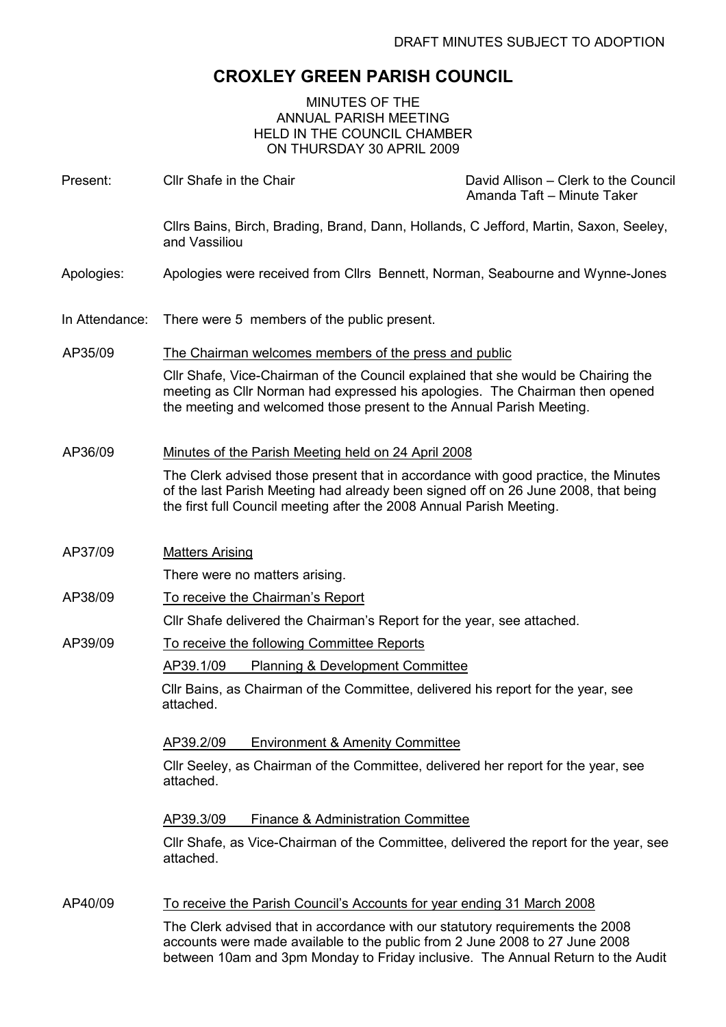## CROXLEY GREEN PARISH COUNCIL

#### MINUTES OF THE ANNUAL PARISH MEETING HELD IN THE COUNCIL CHAMBER ON THURSDAY 30 APRIL 2009

| Present:       | Cllr Shafe in the Chair                                                                                                                                                                                                                          | David Allison - Clerk to the Council<br>Amanda Taft - Minute Taker |
|----------------|--------------------------------------------------------------------------------------------------------------------------------------------------------------------------------------------------------------------------------------------------|--------------------------------------------------------------------|
|                | Cllrs Bains, Birch, Brading, Brand, Dann, Hollands, C Jefford, Martin, Saxon, Seeley,<br>and Vassiliou                                                                                                                                           |                                                                    |
| Apologies:     | Apologies were received from Cllrs Bennett, Norman, Seabourne and Wynne-Jones                                                                                                                                                                    |                                                                    |
| In Attendance: | There were 5 members of the public present.                                                                                                                                                                                                      |                                                                    |
| AP35/09        | The Chairman welcomes members of the press and public                                                                                                                                                                                            |                                                                    |
|                | CIIr Shafe, Vice-Chairman of the Council explained that she would be Chairing the<br>meeting as Cllr Norman had expressed his apologies. The Chairman then opened<br>the meeting and welcomed those present to the Annual Parish Meeting.        |                                                                    |
| AP36/09        | Minutes of the Parish Meeting held on 24 April 2008                                                                                                                                                                                              |                                                                    |
|                | The Clerk advised those present that in accordance with good practice, the Minutes<br>of the last Parish Meeting had already been signed off on 26 June 2008, that being<br>the first full Council meeting after the 2008 Annual Parish Meeting. |                                                                    |
| AP37/09        | <b>Matters Arising</b>                                                                                                                                                                                                                           |                                                                    |
|                | There were no matters arising.                                                                                                                                                                                                                   |                                                                    |
| AP38/09        | To receive the Chairman's Report                                                                                                                                                                                                                 |                                                                    |
|                | Cllr Shafe delivered the Chairman's Report for the year, see attached.                                                                                                                                                                           |                                                                    |
| AP39/09        | To receive the following Committee Reports                                                                                                                                                                                                       |                                                                    |
|                | AP39.1/09<br><b>Planning &amp; Development Committee</b>                                                                                                                                                                                         |                                                                    |
|                | CIIr Bains, as Chairman of the Committee, delivered his report for the year, see<br>attached.                                                                                                                                                    |                                                                    |
|                | <b>Environment &amp; Amenity Committee</b><br>AP39.2/09                                                                                                                                                                                          |                                                                    |
|                | CIIr Seeley, as Chairman of the Committee, delivered her report for the year, see<br>attached.                                                                                                                                                   |                                                                    |
|                | <b>Finance &amp; Administration Committee</b><br>AP39.3/09                                                                                                                                                                                       |                                                                    |
|                | CIIr Shafe, as Vice-Chairman of the Committee, delivered the report for the year, see<br>attached.                                                                                                                                               |                                                                    |
| AP40/09        | <u>To receive the Parish Council's Accounts for year ending 31 March 2008</u>                                                                                                                                                                    |                                                                    |
|                | The Clerk advised that in accordance with our statutory requirements the 2008<br>accounts were made available to the public from 2 June 2008 to 27 June 2008<br>between 10am and 3pm Monday to Friday inclusive. The Annual Return to the Audit  |                                                                    |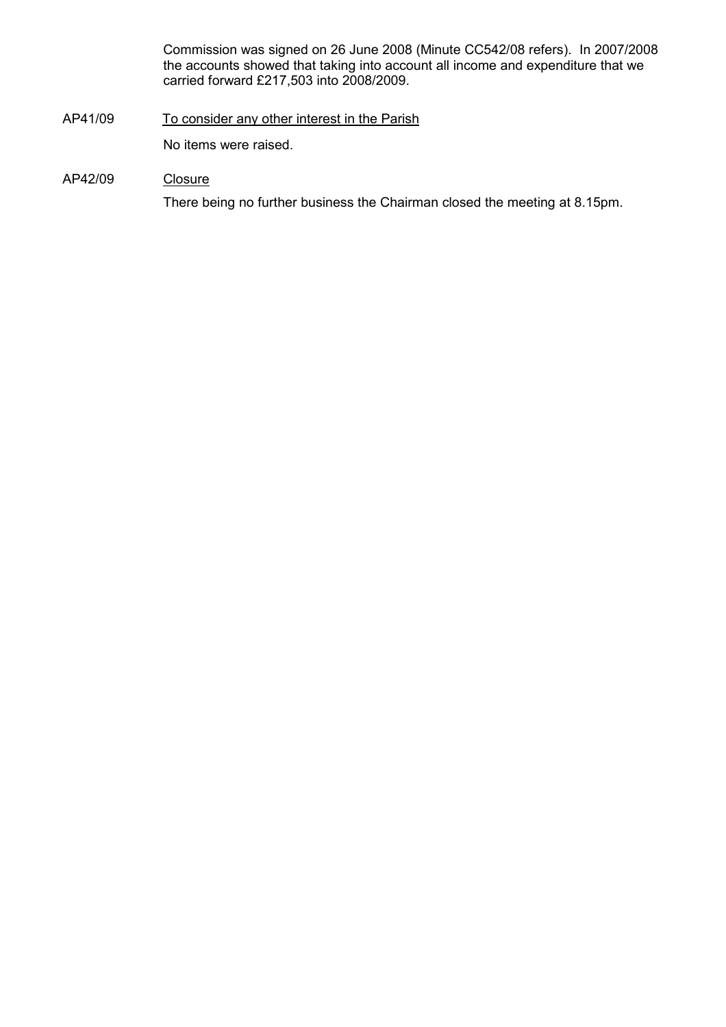Commission was signed on 26 June 2008 (Minute CC542/08 refers). In 2007/2008 the accounts showed that taking into account all income and expenditure that we carried forward £217,503 into 2008/2009.

AP41/09 To consider any other interest in the Parish

No items were raised.

#### AP42/09 Closure

There being no further business the Chairman closed the meeting at 8.15pm.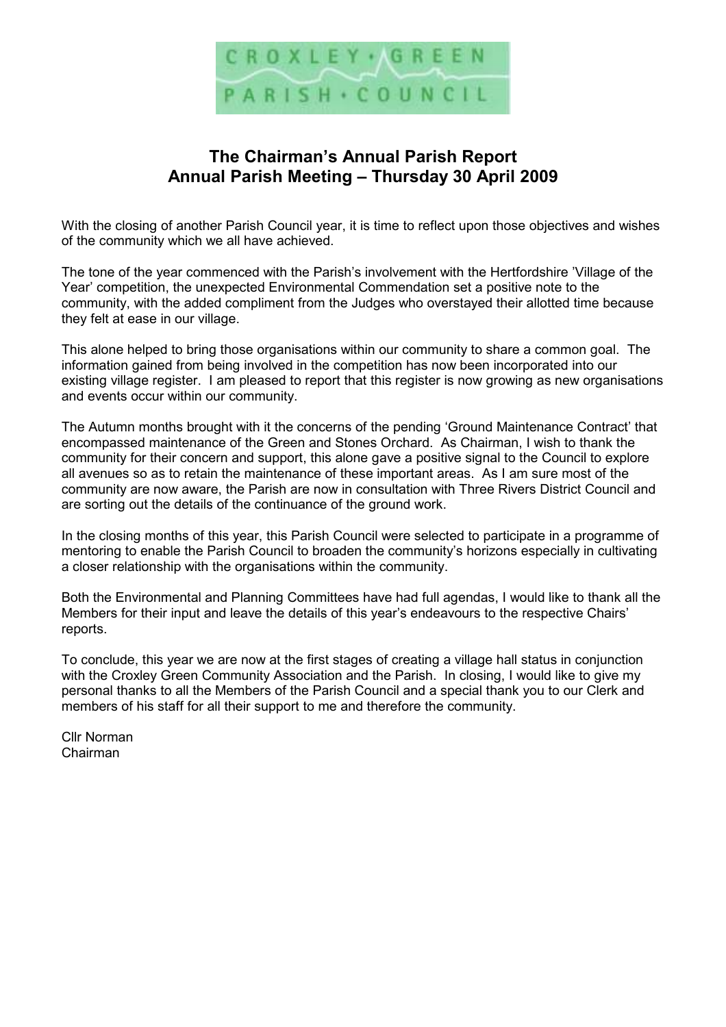

## The Chairman's Annual Parish Report Annual Parish Meeting – Thursday 30 April 2009

With the closing of another Parish Council year, it is time to reflect upon those objectives and wishes of the community which we all have achieved.

The tone of the year commenced with the Parish's involvement with the Hertfordshire 'Village of the Year' competition, the unexpected Environmental Commendation set a positive note to the community, with the added compliment from the Judges who overstayed their allotted time because they felt at ease in our village.

This alone helped to bring those organisations within our community to share a common goal. The information gained from being involved in the competition has now been incorporated into our existing village register. I am pleased to report that this register is now growing as new organisations and events occur within our community.

The Autumn months brought with it the concerns of the pending 'Ground Maintenance Contract' that encompassed maintenance of the Green and Stones Orchard. As Chairman, I wish to thank the community for their concern and support, this alone gave a positive signal to the Council to explore all avenues so as to retain the maintenance of these important areas. As I am sure most of the community are now aware, the Parish are now in consultation with Three Rivers District Council and are sorting out the details of the continuance of the ground work.

In the closing months of this year, this Parish Council were selected to participate in a programme of mentoring to enable the Parish Council to broaden the community's horizons especially in cultivating a closer relationship with the organisations within the community.

Both the Environmental and Planning Committees have had full agendas, I would like to thank all the Members for their input and leave the details of this year's endeavours to the respective Chairs' reports.

To conclude, this year we are now at the first stages of creating a village hall status in conjunction with the Croxley Green Community Association and the Parish. In closing, I would like to give my personal thanks to all the Members of the Parish Council and a special thank you to our Clerk and members of his staff for all their support to me and therefore the community.

Cllr Norman Chairman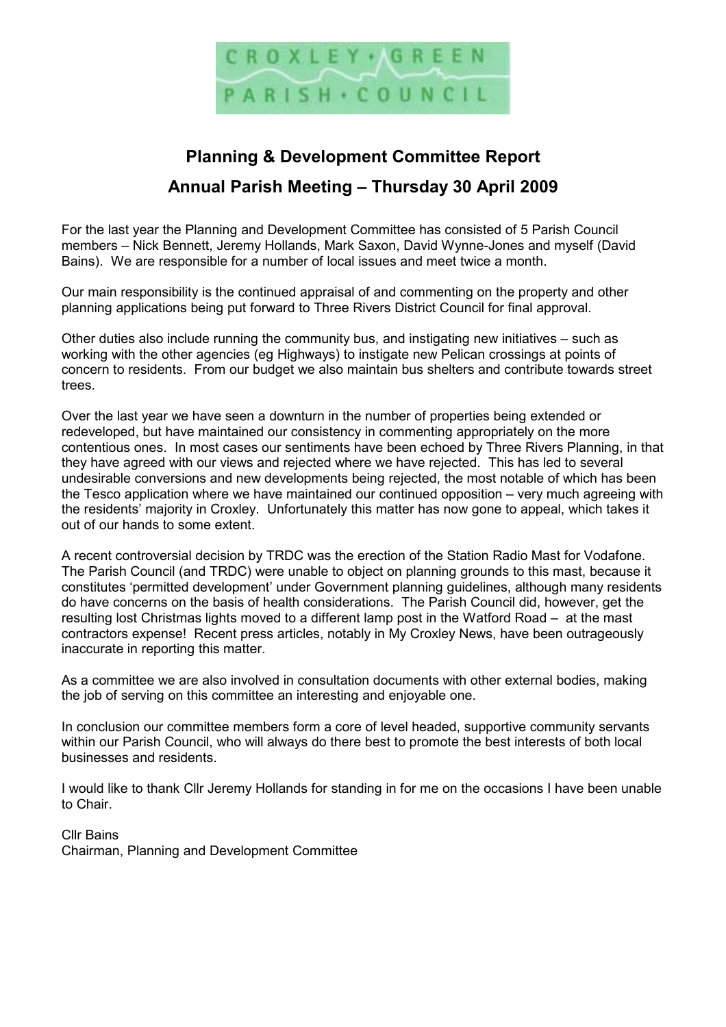

## Planning & Development Committee Report Annual Parish Meeting – Thursday 30 April 2009

For the last year the Planning and Development Committee has consisted of 5 Parish Council members – Nick Bennett, Jeremy Hollands, Mark Saxon, David Wynne-Jones and myself (David Bains). We are responsible for a number of local issues and meet twice a month.

Our main responsibility is the continued appraisal of and commenting on the property and other planning applications being put forward to Three Rivers District Council for final approval.

Other duties also include running the community bus, and instigating new initiatives – such as working with the other agencies (eg Highways) to instigate new Pelican crossings at points of concern to residents. From our budget we also maintain bus shelters and contribute towards street trees.

Over the last year we have seen a downturn in the number of properties being extended or redeveloped, but have maintained our consistency in commenting appropriately on the more contentious ones. In most cases our sentiments have been echoed by Three Rivers Planning, in that they have agreed with our views and rejected where we have rejected. This has led to several undesirable conversions and new developments being rejected, the most notable of which has been the Tesco application where we have maintained our continued opposition – very much agreeing with the residents' majority in Croxley. Unfortunately this matter has now gone to appeal, which takes it out of our hands to some extent.

A recent controversial decision by TRDC was the erection of the Station Radio Mast for Vodafone. The Parish Council (and TRDC) were unable to object on planning grounds to this mast, because it constitutes 'permitted development' under Government planning guidelines, although many residents do have concerns on the basis of health considerations. The Parish Council did, however, get the resulting lost Christmas lights moved to a different lamp post in the Watford Road – at the mast contractors expense! Recent press articles, notably in My Croxley News, have been outrageously inaccurate in reporting this matter.

As a committee we are also involved in consultation documents with other external bodies, making the job of serving on this committee an interesting and enjoyable one.

In conclusion our committee members form a core of level headed, supportive community servants within our Parish Council, who will always do there best to promote the best interests of both local businesses and residents.

I would like to thank Cllr Jeremy Hollands for standing in for me on the occasions I have been unable to Chair.

Cllr Bains

Chairman, Planning and Development Committee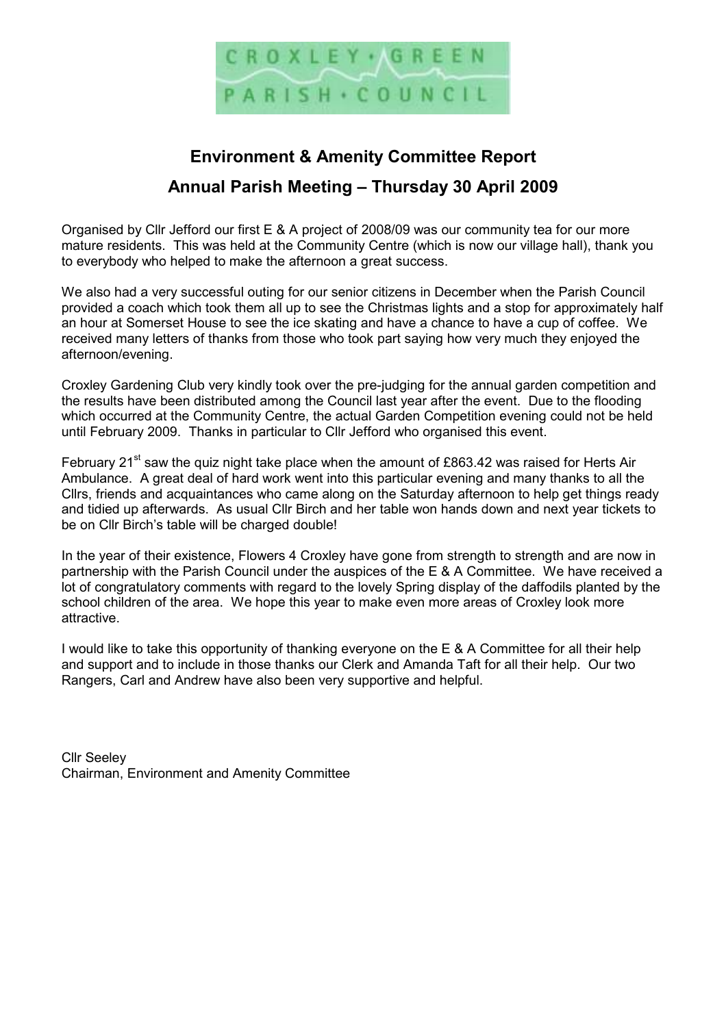

# Environment & Amenity Committee Report Annual Parish Meeting – Thursday 30 April 2009

Organised by Cllr Jefford our first E & A project of 2008/09 was our community tea for our more mature residents. This was held at the Community Centre (which is now our village hall), thank you to everybody who helped to make the afternoon a great success.

We also had a very successful outing for our senior citizens in December when the Parish Council provided a coach which took them all up to see the Christmas lights and a stop for approximately half an hour at Somerset House to see the ice skating and have a chance to have a cup of coffee. We received many letters of thanks from those who took part saying how very much they enjoyed the afternoon/evening.

Croxley Gardening Club very kindly took over the pre-judging for the annual garden competition and the results have been distributed among the Council last year after the event. Due to the flooding which occurred at the Community Centre, the actual Garden Competition evening could not be held until February 2009. Thanks in particular to Cllr Jefford who organised this event.

February 21<sup>st</sup> saw the quiz night take place when the amount of £863.42 was raised for Herts Air Ambulance. A great deal of hard work went into this particular evening and many thanks to all the Cllrs, friends and acquaintances who came along on the Saturday afternoon to help get things ready and tidied up afterwards. As usual Cllr Birch and her table won hands down and next year tickets to be on Cllr Birch's table will be charged double!

In the year of their existence, Flowers 4 Croxley have gone from strength to strength and are now in partnership with the Parish Council under the auspices of the E & A Committee. We have received a lot of congratulatory comments with regard to the lovely Spring display of the daffodils planted by the school children of the area. We hope this year to make even more areas of Croxley look more attractive.

I would like to take this opportunity of thanking everyone on the E & A Committee for all their help and support and to include in those thanks our Clerk and Amanda Taft for all their help. Our two Rangers, Carl and Andrew have also been very supportive and helpful.

Cllr Seeley Chairman, Environment and Amenity Committee